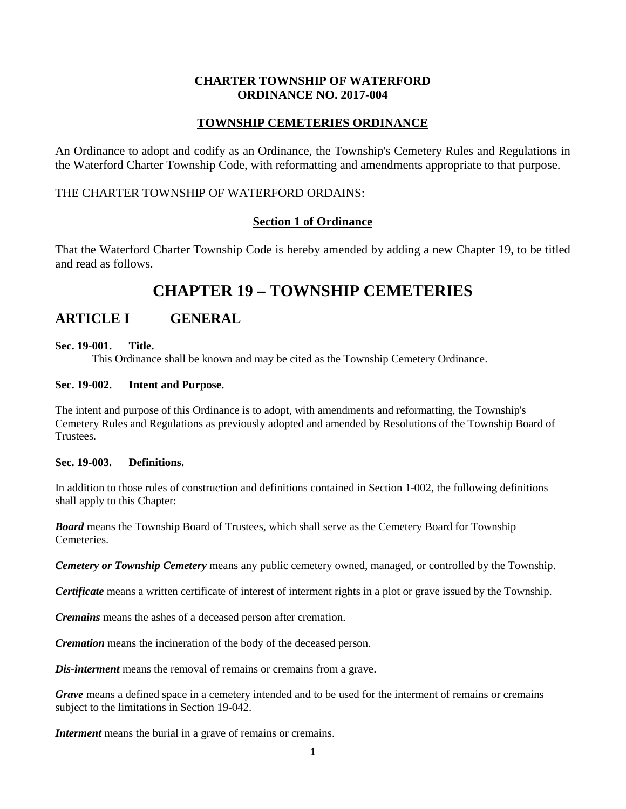## **CHARTER TOWNSHIP OF WATERFORD ORDINANCE NO. 2017-004**

## **TOWNSHIP CEMETERIES ORDINANCE**

An Ordinance to adopt and codify as an Ordinance, the Township's Cemetery Rules and Regulations in the Waterford Charter Township Code, with reformatting and amendments appropriate to that purpose.

## THE CHARTER TOWNSHIP OF WATERFORD ORDAINS:

## **Section 1 of Ordinance**

That the Waterford Charter Township Code is hereby amended by adding a new Chapter 19, to be titled and read as follows.

# **CHAPTER 19 – TOWNSHIP CEMETERIES**

## **ARTICLE I GENERAL**

## **Sec. 19-001. Title.**

This Ordinance shall be known and may be cited as the Township Cemetery Ordinance.

## **Sec. 19-002. Intent and Purpose.**

The intent and purpose of this Ordinance is to adopt, with amendments and reformatting, the Township's Cemetery Rules and Regulations as previously adopted and amended by Resolutions of the Township Board of Trustees.

## **Sec. 19-003. Definitions.**

In addition to those rules of construction and definitions contained in Section 1-002, the following definitions shall apply to this Chapter:

*Board* means the Township Board of Trustees, which shall serve as the Cemetery Board for Township **Cemeteries** 

*Cemetery or Township Cemetery* means any public cemetery owned, managed, or controlled by the Township.

*Certificate* means a written certificate of interest of interment rights in a plot or grave issued by the Township.

*Cremains* means the ashes of a deceased person after cremation.

*Cremation* means the incineration of the body of the deceased person.

*Dis-interment* means the removal of remains or cremains from a grave.

*Grave* means a defined space in a cemetery intended and to be used for the interment of remains or cremains subject to the limitations in Section 19-042.

*Interment* means the burial in a grave of remains or cremains.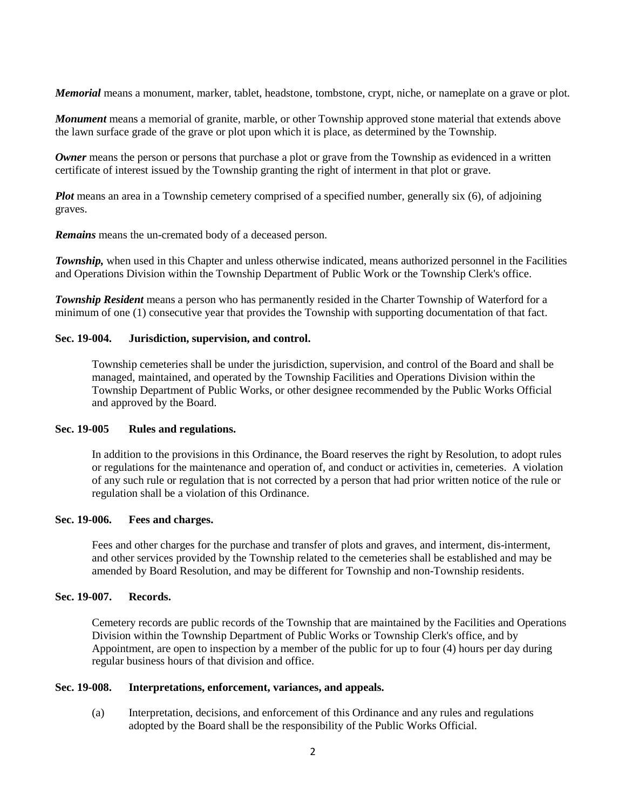*Memorial* means a monument, marker, tablet, headstone, tombstone, crypt, niche, or nameplate on a grave or plot.

*Monument* means a memorial of granite, marble, or other Township approved stone material that extends above the lawn surface grade of the grave or plot upon which it is place, as determined by the Township.

*Owner* means the person or persons that purchase a plot or grave from the Township as evidenced in a written certificate of interest issued by the Township granting the right of interment in that plot or grave.

*Plot* means an area in a Township cemetery comprised of a specified number, generally six (6), of adjoining graves.

*Remains* means the un-cremated body of a deceased person.

*Township*, when used in this Chapter and unless otherwise indicated, means authorized personnel in the Facilities and Operations Division within the Township Department of Public Work or the Township Clerk's office.

*Township Resident* means a person who has permanently resided in the Charter Township of Waterford for a minimum of one (1) consecutive year that provides the Township with supporting documentation of that fact.

#### **Sec. 19-004. Jurisdiction, supervision, and control.**

Township cemeteries shall be under the jurisdiction, supervision, and control of the Board and shall be managed, maintained, and operated by the Township Facilities and Operations Division within the Township Department of Public Works, or other designee recommended by the Public Works Official and approved by the Board.

#### **Sec. 19-005 Rules and regulations.**

In addition to the provisions in this Ordinance, the Board reserves the right by Resolution, to adopt rules or regulations for the maintenance and operation of, and conduct or activities in, cemeteries. A violation of any such rule or regulation that is not corrected by a person that had prior written notice of the rule or regulation shall be a violation of this Ordinance.

#### **Sec. 19-006. Fees and charges.**

Fees and other charges for the purchase and transfer of plots and graves, and interment, dis-interment, and other services provided by the Township related to the cemeteries shall be established and may be amended by Board Resolution, and may be different for Township and non-Township residents.

#### **Sec. 19-007. Records.**

Cemetery records are public records of the Township that are maintained by the Facilities and Operations Division within the Township Department of Public Works or Township Clerk's office, and by Appointment, are open to inspection by a member of the public for up to four (4) hours per day during regular business hours of that division and office.

## **Sec. 19-008. Interpretations, enforcement, variances, and appeals.**

(a) Interpretation, decisions, and enforcement of this Ordinance and any rules and regulations adopted by the Board shall be the responsibility of the Public Works Official.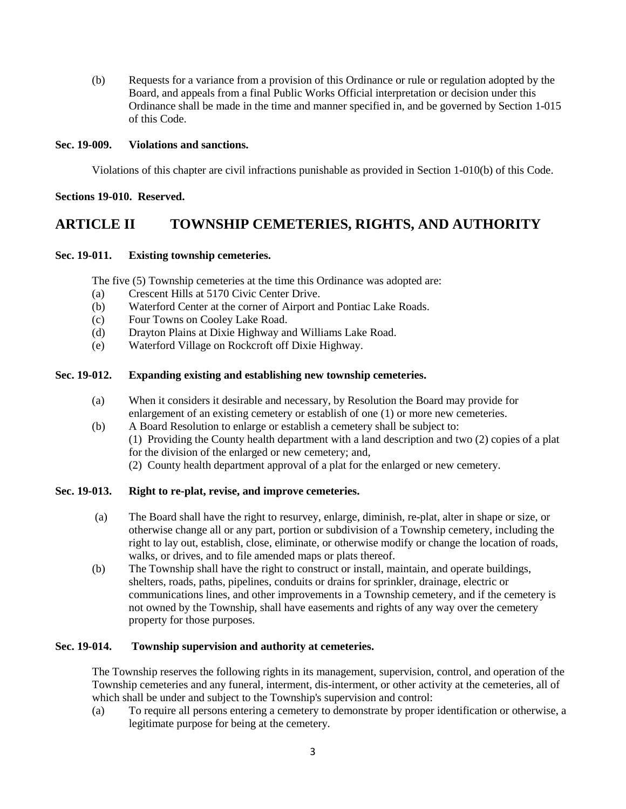(b) Requests for a variance from a provision of this Ordinance or rule or regulation adopted by the Board, and appeals from a final Public Works Official interpretation or decision under this Ordinance shall be made in the time and manner specified in, and be governed by Section 1-015 of this Code.

## **Sec. 19-009. Violations and sanctions.**

Violations of this chapter are civil infractions punishable as provided in Section 1-010(b) of this Code.

#### **Sections 19-010. Reserved.**

## **ARTICLE II TOWNSHIP CEMETERIES, RIGHTS, AND AUTHORITY**

#### **Sec. 19-011. Existing township cemeteries.**

The five (5) Township cemeteries at the time this Ordinance was adopted are:

- (a) Crescent Hills at 5170 Civic Center Drive.
- (b) Waterford Center at the corner of Airport and Pontiac Lake Roads.
- (c) Four Towns on Cooley Lake Road.
- (d) Drayton Plains at Dixie Highway and Williams Lake Road.
- (e) Waterford Village on Rockcroft off Dixie Highway.

## **Sec. 19-012. Expanding existing and establishing new township cemeteries.**

- (a) When it considers it desirable and necessary, by Resolution the Board may provide for enlargement of an existing cemetery or establish of one (1) or more new cemeteries.
- (b) A Board Resolution to enlarge or establish a cemetery shall be subject to: (1) Providing the County health department with a land description and two (2) copies of a plat for the division of the enlarged or new cemetery; and, (2) County health department approval of a plat for the enlarged or new cemetery.

## **Sec. 19-013. Right to re-plat, revise, and improve cemeteries.**

- (a) The Board shall have the right to resurvey, enlarge, diminish, re-plat, alter in shape or size, or otherwise change all or any part, portion or subdivision of a Township cemetery, including the right to lay out, establish, close, eliminate, or otherwise modify or change the location of roads, walks, or drives, and to file amended maps or plats thereof.
- (b) The Township shall have the right to construct or install, maintain, and operate buildings, shelters, roads, paths, pipelines, conduits or drains for sprinkler, drainage, electric or communications lines, and other improvements in a Township cemetery, and if the cemetery is not owned by the Township, shall have easements and rights of any way over the cemetery property for those purposes.

#### **Sec. 19-014. Township supervision and authority at cemeteries.**

The Township reserves the following rights in its management, supervision, control, and operation of the Township cemeteries and any funeral, interment, dis-interment, or other activity at the cemeteries, all of which shall be under and subject to the Township's supervision and control:

(a) To require all persons entering a cemetery to demonstrate by proper identification or otherwise, a legitimate purpose for being at the cemetery.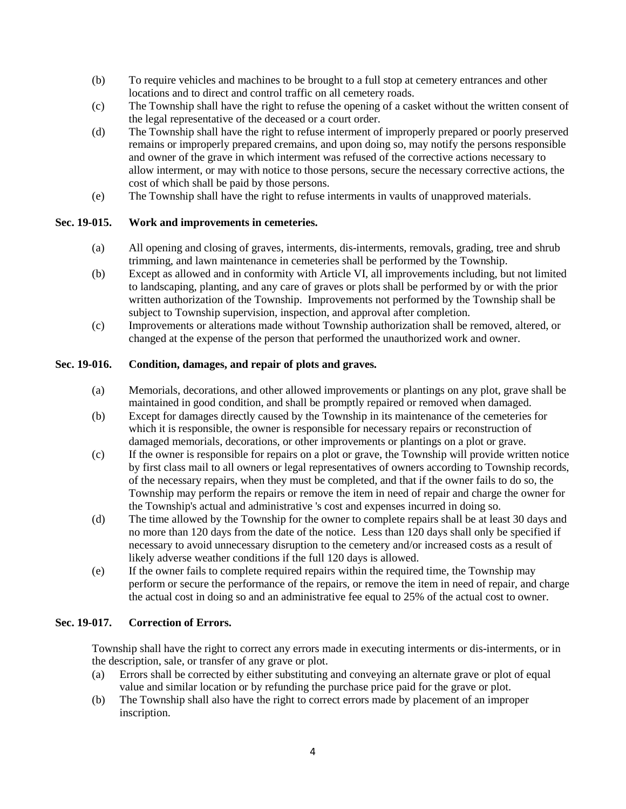- (b) To require vehicles and machines to be brought to a full stop at cemetery entrances and other locations and to direct and control traffic on all cemetery roads.
- (c) The Township shall have the right to refuse the opening of a casket without the written consent of the legal representative of the deceased or a court order.
- (d) The Township shall have the right to refuse interment of improperly prepared or poorly preserved remains or improperly prepared cremains, and upon doing so, may notify the persons responsible and owner of the grave in which interment was refused of the corrective actions necessary to allow interment, or may with notice to those persons, secure the necessary corrective actions, the cost of which shall be paid by those persons.
- (e) The Township shall have the right to refuse interments in vaults of unapproved materials.

## **Sec. 19-015. Work and improvements in cemeteries.**

- (a) All opening and closing of graves, interments, dis-interments, removals, grading, tree and shrub trimming, and lawn maintenance in cemeteries shall be performed by the Township.
- (b) Except as allowed and in conformity with Article VI, all improvements including, but not limited to landscaping, planting, and any care of graves or plots shall be performed by or with the prior written authorization of the Township. Improvements not performed by the Township shall be subject to Township supervision, inspection, and approval after completion.
- (c) Improvements or alterations made without Township authorization shall be removed, altered, or changed at the expense of the person that performed the unauthorized work and owner.

## **Sec. 19-016. Condition, damages, and repair of plots and graves.**

- (a) Memorials, decorations, and other allowed improvements or plantings on any plot, grave shall be maintained in good condition, and shall be promptly repaired or removed when damaged.
- (b) Except for damages directly caused by the Township in its maintenance of the cemeteries for which it is responsible, the owner is responsible for necessary repairs or reconstruction of damaged memorials, decorations, or other improvements or plantings on a plot or grave.
- (c) If the owner is responsible for repairs on a plot or grave, the Township will provide written notice by first class mail to all owners or legal representatives of owners according to Township records, of the necessary repairs, when they must be completed, and that if the owner fails to do so, the Township may perform the repairs or remove the item in need of repair and charge the owner for the Township's actual and administrative 's cost and expenses incurred in doing so.
- (d) The time allowed by the Township for the owner to complete repairs shall be at least 30 days and no more than 120 days from the date of the notice. Less than 120 days shall only be specified if necessary to avoid unnecessary disruption to the cemetery and/or increased costs as a result of likely adverse weather conditions if the full 120 days is allowed.
- (e) If the owner fails to complete required repairs within the required time, the Township may perform or secure the performance of the repairs, or remove the item in need of repair, and charge the actual cost in doing so and an administrative fee equal to 25% of the actual cost to owner.

## **Sec. 19-017. Correction of Errors.**

Township shall have the right to correct any errors made in executing interments or dis-interments, or in the description, sale, or transfer of any grave or plot.

- (a) Errors shall be corrected by either substituting and conveying an alternate grave or plot of equal value and similar location or by refunding the purchase price paid for the grave or plot.
- (b) The Township shall also have the right to correct errors made by placement of an improper inscription.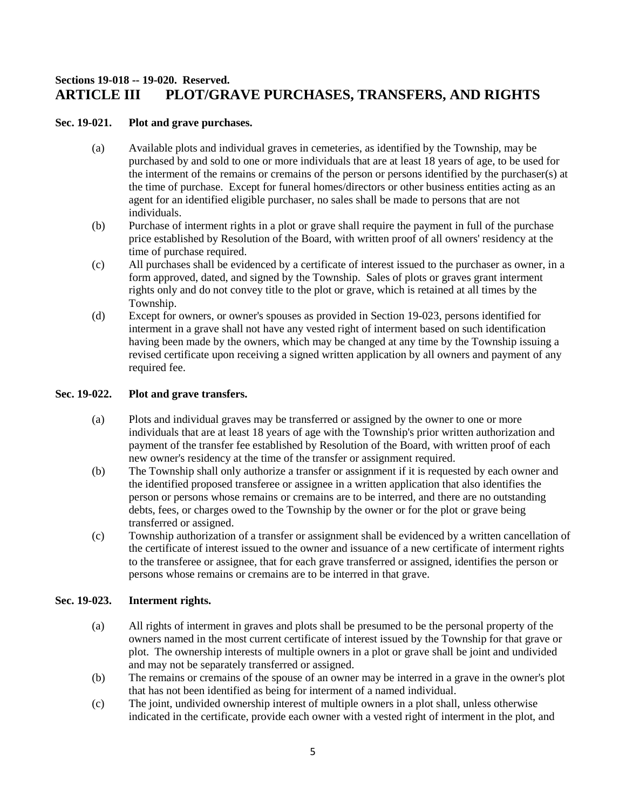## **Sections 19-018 -- 19-020. Reserved. ARTICLE III PLOT/GRAVE PURCHASES, TRANSFERS, AND RIGHTS**

## **Sec. 19-021. Plot and grave purchases.**

- (a) Available plots and individual graves in cemeteries, as identified by the Township, may be purchased by and sold to one or more individuals that are at least 18 years of age, to be used for the interment of the remains or cremains of the person or persons identified by the purchaser(s) at the time of purchase. Except for funeral homes/directors or other business entities acting as an agent for an identified eligible purchaser, no sales shall be made to persons that are not individuals.
- (b) Purchase of interment rights in a plot or grave shall require the payment in full of the purchase price established by Resolution of the Board, with written proof of all owners' residency at the time of purchase required.
- (c) All purchases shall be evidenced by a certificate of interest issued to the purchaser as owner, in a form approved, dated, and signed by the Township. Sales of plots or graves grant interment rights only and do not convey title to the plot or grave, which is retained at all times by the Township.
- (d) Except for owners, or owner's spouses as provided in Section 19-023, persons identified for interment in a grave shall not have any vested right of interment based on such identification having been made by the owners, which may be changed at any time by the Township issuing a revised certificate upon receiving a signed written application by all owners and payment of any required fee.

## **Sec. 19-022. Plot and grave transfers.**

- (a) Plots and individual graves may be transferred or assigned by the owner to one or more individuals that are at least 18 years of age with the Township's prior written authorization and payment of the transfer fee established by Resolution of the Board, with written proof of each new owner's residency at the time of the transfer or assignment required.
- (b) The Township shall only authorize a transfer or assignment if it is requested by each owner and the identified proposed transferee or assignee in a written application that also identifies the person or persons whose remains or cremains are to be interred, and there are no outstanding debts, fees, or charges owed to the Township by the owner or for the plot or grave being transferred or assigned.
- (c) Township authorization of a transfer or assignment shall be evidenced by a written cancellation of the certificate of interest issued to the owner and issuance of a new certificate of interment rights to the transferee or assignee, that for each grave transferred or assigned, identifies the person or persons whose remains or cremains are to be interred in that grave.

## **Sec. 19-023. Interment rights.**

- (a) All rights of interment in graves and plots shall be presumed to be the personal property of the owners named in the most current certificate of interest issued by the Township for that grave or plot. The ownership interests of multiple owners in a plot or grave shall be joint and undivided and may not be separately transferred or assigned.
- (b) The remains or cremains of the spouse of an owner may be interred in a grave in the owner's plot that has not been identified as being for interment of a named individual.
- (c) The joint, undivided ownership interest of multiple owners in a plot shall, unless otherwise indicated in the certificate, provide each owner with a vested right of interment in the plot, and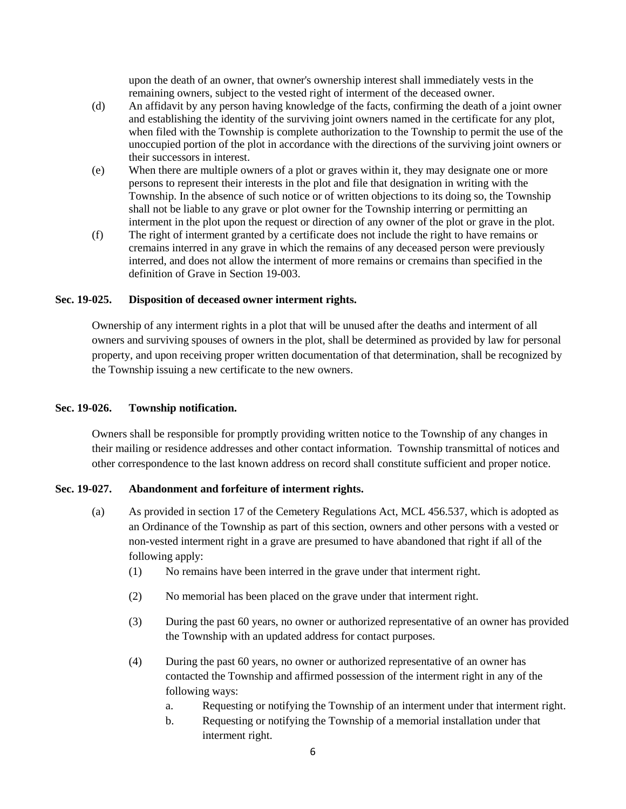upon the death of an owner, that owner's ownership interest shall immediately vests in the remaining owners, subject to the vested right of interment of the deceased owner.

- (d) An affidavit by any person having knowledge of the facts, confirming the death of a joint owner and establishing the identity of the surviving joint owners named in the certificate for any plot, when filed with the Township is complete authorization to the Township to permit the use of the unoccupied portion of the plot in accordance with the directions of the surviving joint owners or their successors in interest.
- (e) When there are multiple owners of a plot or graves within it, they may designate one or more persons to represent their interests in the plot and file that designation in writing with the Township. In the absence of such notice or of written objections to its doing so, the Township shall not be liable to any grave or plot owner for the Township interring or permitting an interment in the plot upon the request or direction of any owner of the plot or grave in the plot.
- (f) The right of interment granted by a certificate does not include the right to have remains or cremains interred in any grave in which the remains of any deceased person were previously interred, and does not allow the interment of more remains or cremains than specified in the definition of Grave in Section 19-003.

#### **Sec. 19-025. Disposition of deceased owner interment rights.**

Ownership of any interment rights in a plot that will be unused after the deaths and interment of all owners and surviving spouses of owners in the plot, shall be determined as provided by law for personal property, and upon receiving proper written documentation of that determination, shall be recognized by the Township issuing a new certificate to the new owners.

#### **Sec. 19-026. Township notification.**

Owners shall be responsible for promptly providing written notice to the Township of any changes in their mailing or residence addresses and other contact information. Township transmittal of notices and other correspondence to the last known address on record shall constitute sufficient and proper notice.

## **Sec. 19-027. Abandonment and forfeiture of interment rights.**

- (a) As provided in section 17 of the Cemetery Regulations Act, MCL 456.537, which is adopted as an Ordinance of the Township as part of this section, owners and other persons with a vested or non-vested interment right in a grave are presumed to have abandoned that right if all of the following apply:
	- (1) No remains have been interred in the grave under that interment right.
	- (2) No memorial has been placed on the grave under that interment right.
	- (3) During the past 60 years, no owner or authorized representative of an owner has provided the Township with an updated address for contact purposes.
	- (4) During the past 60 years, no owner or authorized representative of an owner has contacted the Township and affirmed possession of the interment right in any of the following ways:
		- a. Requesting or notifying the Township of an interment under that interment right.
		- b. Requesting or notifying the Township of a memorial installation under that interment right.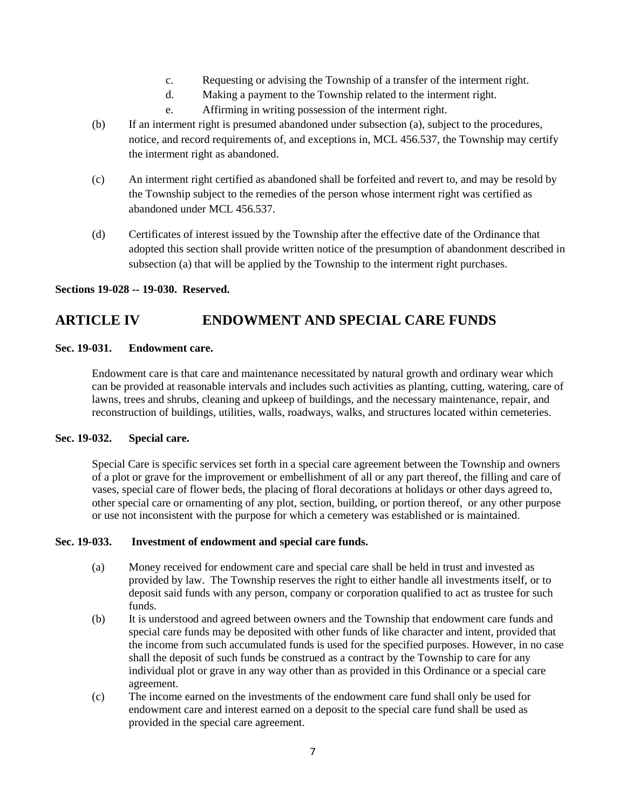- c. Requesting or advising the Township of a transfer of the interment right.
- d. Making a payment to the Township related to the interment right.
- e. Affirming in writing possession of the interment right.
- (b) If an interment right is presumed abandoned under subsection (a), subject to the procedures, notice, and record requirements of, and exceptions in, MCL 456.537, the Township may certify the interment right as abandoned.
- (c) An interment right certified as abandoned shall be forfeited and revert to, and may be resold by the Township subject to the remedies of the person whose interment right was certified as abandoned under MCL 456.537.
- (d) Certificates of interest issued by the Township after the effective date of the Ordinance that adopted this section shall provide written notice of the presumption of abandonment described in subsection (a) that will be applied by the Township to the interment right purchases.

## **Sections 19-028 -- 19-030. Reserved.**

## **ARTICLE IV ENDOWMENT AND SPECIAL CARE FUNDS**

#### **Sec. 19-031. Endowment care.**

Endowment care is that care and maintenance necessitated by natural growth and ordinary wear which can be provided at reasonable intervals and includes such activities as planting, cutting, watering, care of lawns, trees and shrubs, cleaning and upkeep of buildings, and the necessary maintenance, repair, and reconstruction of buildings, utilities, walls, roadways, walks, and structures located within cemeteries.

## **Sec. 19-032. Special care.**

Special Care is specific services set forth in a special care agreement between the Township and owners of a plot or grave for the improvement or embellishment of all or any part thereof, the filling and care of vases, special care of flower beds, the placing of floral decorations at holidays or other days agreed to, other special care or ornamenting of any plot, section, building, or portion thereof, or any other purpose or use not inconsistent with the purpose for which a cemetery was established or is maintained.

#### **Sec. 19-033. Investment of endowment and special care funds.**

- (a) Money received for endowment care and special care shall be held in trust and invested as provided by law. The Township reserves the right to either handle all investments itself, or to deposit said funds with any person, company or corporation qualified to act as trustee for such funds.
- (b) It is understood and agreed between owners and the Township that endowment care funds and special care funds may be deposited with other funds of like character and intent, provided that the income from such accumulated funds is used for the specified purposes. However, in no case shall the deposit of such funds be construed as a contract by the Township to care for any individual plot or grave in any way other than as provided in this Ordinance or a special care agreement.
- (c) The income earned on the investments of the endowment care fund shall only be used for endowment care and interest earned on a deposit to the special care fund shall be used as provided in the special care agreement.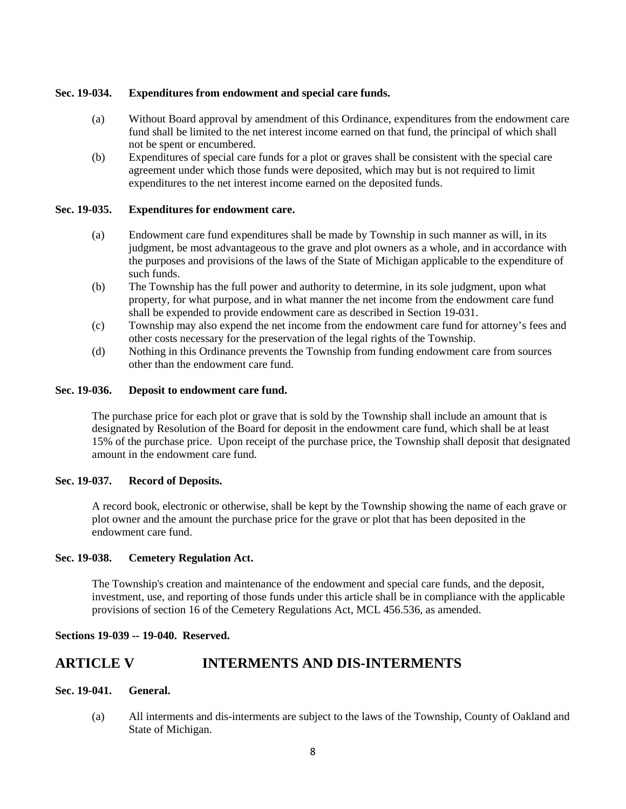## **Sec. 19-034. Expenditures from endowment and special care funds.**

- (a) Without Board approval by amendment of this Ordinance, expenditures from the endowment care fund shall be limited to the net interest income earned on that fund, the principal of which shall not be spent or encumbered.
- (b) Expenditures of special care funds for a plot or graves shall be consistent with the special care agreement under which those funds were deposited, which may but is not required to limit expenditures to the net interest income earned on the deposited funds.

#### **Sec. 19-035. Expenditures for endowment care.**

- (a) Endowment care fund expenditures shall be made by Township in such manner as will, in its judgment, be most advantageous to the grave and plot owners as a whole, and in accordance with the purposes and provisions of the laws of the State of Michigan applicable to the expenditure of such funds.
- (b) The Township has the full power and authority to determine, in its sole judgment, upon what property, for what purpose, and in what manner the net income from the endowment care fund shall be expended to provide endowment care as described in Section 19-031.
- (c) Township may also expend the net income from the endowment care fund for attorney's fees and other costs necessary for the preservation of the legal rights of the Township.
- (d) Nothing in this Ordinance prevents the Township from funding endowment care from sources other than the endowment care fund.

#### **Sec. 19-036. Deposit to endowment care fund.**

The purchase price for each plot or grave that is sold by the Township shall include an amount that is designated by Resolution of the Board for deposit in the endowment care fund, which shall be at least 15% of the purchase price. Upon receipt of the purchase price, the Township shall deposit that designated amount in the endowment care fund.

## **Sec. 19-037. Record of Deposits.**

A record book, electronic or otherwise, shall be kept by the Township showing the name of each grave or plot owner and the amount the purchase price for the grave or plot that has been deposited in the endowment care fund.

#### **Sec. 19-038. Cemetery Regulation Act.**

The Township's creation and maintenance of the endowment and special care funds, and the deposit, investment, use, and reporting of those funds under this article shall be in compliance with the applicable provisions of section 16 of the Cemetery Regulations Act, MCL 456.536, as amended.

#### **Sections 19-039 -- 19-040. Reserved.**

## **ARTICLE V INTERMENTS AND DIS-INTERMENTS**

#### **Sec. 19-041. General.**

(a) All interments and dis-interments are subject to the laws of the Township, County of Oakland and State of Michigan.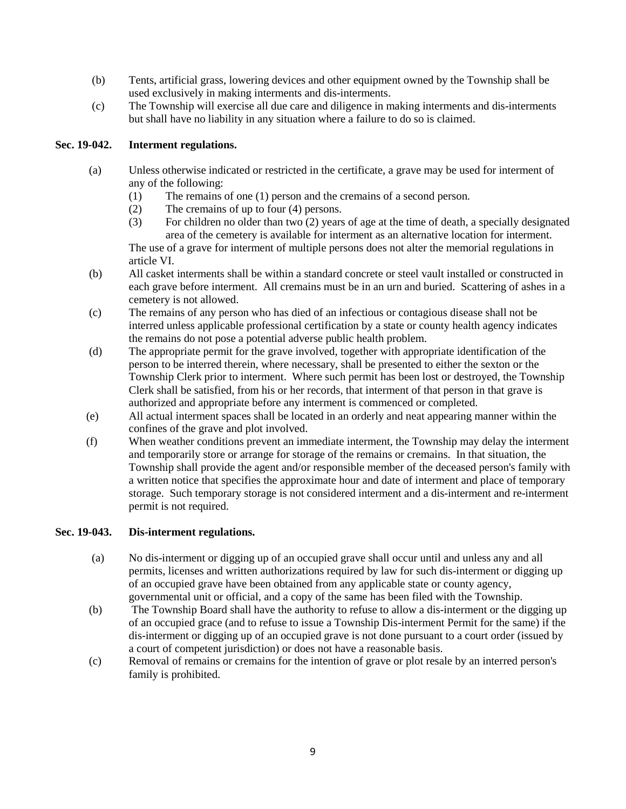- (b) Tents, artificial grass, lowering devices and other equipment owned by the Township shall be used exclusively in making interments and dis-interments.
- (c) The Township will exercise all due care and diligence in making interments and dis-interments but shall have no liability in any situation where a failure to do so is claimed.

## **Sec. 19-042. Interment regulations.**

- (a) Unless otherwise indicated or restricted in the certificate, a grave may be used for interment of any of the following:
	- (1) The remains of one (1) person and the cremains of a second person.
	- (2) The cremains of up to four (4) persons.
	- (3) For children no older than two (2) years of age at the time of death, a specially designated area of the cemetery is available for interment as an alternative location for interment. The use of a grave for interment of multiple persons does not alter the memorial regulations in article VI.
- (b) All casket interments shall be within a standard concrete or steel vault installed or constructed in each grave before interment. All cremains must be in an urn and buried. Scattering of ashes in a cemetery is not allowed.
- (c) The remains of any person who has died of an infectious or contagious disease shall not be interred unless applicable professional certification by a state or county health agency indicates the remains do not pose a potential adverse public health problem.
- (d) The appropriate permit for the grave involved, together with appropriate identification of the person to be interred therein, where necessary, shall be presented to either the sexton or the Township Clerk prior to interment. Where such permit has been lost or destroyed, the Township Clerk shall be satisfied, from his or her records, that interment of that person in that grave is authorized and appropriate before any interment is commenced or completed.
- (e) All actual interment spaces shall be located in an orderly and neat appearing manner within the confines of the grave and plot involved.
- (f) When weather conditions prevent an immediate interment, the Township may delay the interment and temporarily store or arrange for storage of the remains or cremains. In that situation, the Township shall provide the agent and/or responsible member of the deceased person's family with a written notice that specifies the approximate hour and date of interment and place of temporary storage. Such temporary storage is not considered interment and a dis-interment and re-interment permit is not required.

## **Sec. 19-043. Dis-interment regulations.**

- (a) No dis-interment or digging up of an occupied grave shall occur until and unless any and all permits, licenses and written authorizations required by law for such dis-interment or digging up of an occupied grave have been obtained from any applicable state or county agency, governmental unit or official, and a copy of the same has been filed with the Township.
- (b) The Township Board shall have the authority to refuse to allow a dis-interment or the digging up of an occupied grace (and to refuse to issue a Township Dis-interment Permit for the same) if the dis-interment or digging up of an occupied grave is not done pursuant to a court order (issued by a court of competent jurisdiction) or does not have a reasonable basis.
- (c) Removal of remains or cremains for the intention of grave or plot resale by an interred person's family is prohibited.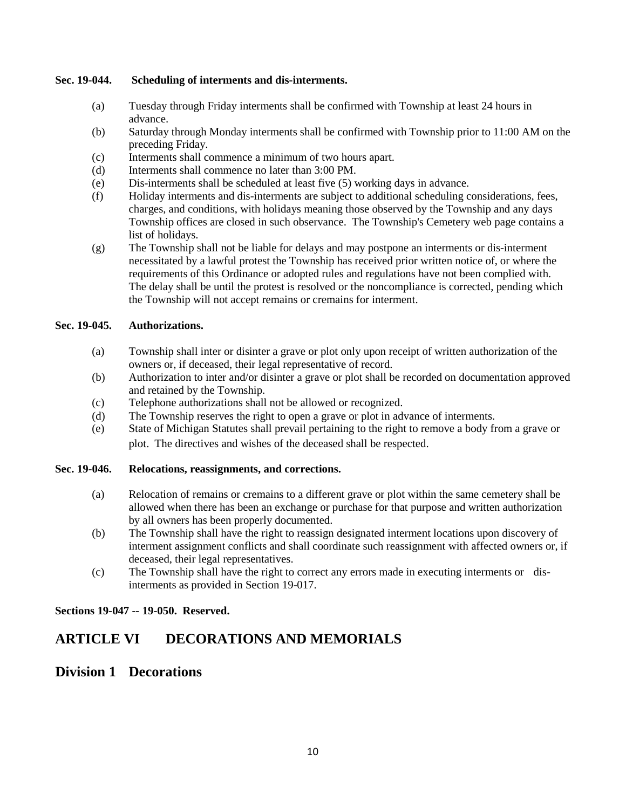## **Sec. 19-044. Scheduling of interments and dis-interments.**

- (a) Tuesday through Friday interments shall be confirmed with Township at least 24 hours in advance.
- (b) Saturday through Monday interments shall be confirmed with Township prior to 11:00 AM on the preceding Friday.
- (c) Interments shall commence a minimum of two hours apart.
- (d) Interments shall commence no later than 3:00 PM.
- (e) Dis-interments shall be scheduled at least five (5) working days in advance.
- (f) Holiday interments and dis-interments are subject to additional scheduling considerations, fees, charges, and conditions, with holidays meaning those observed by the Township and any days Township offices are closed in such observance. The Township's Cemetery web page contains a list of holidays.
- (g) The Township shall not be liable for delays and may postpone an interments or dis-interment necessitated by a lawful protest the Township has received prior written notice of, or where the requirements of this Ordinance or adopted rules and regulations have not been complied with. The delay shall be until the protest is resolved or the noncompliance is corrected, pending which the Township will not accept remains or cremains for interment.

## **Sec. 19-045. Authorizations.**

- (a) Township shall inter or disinter a grave or plot only upon receipt of written authorization of the owners or, if deceased, their legal representative of record.
- (b) Authorization to inter and/or disinter a grave or plot shall be recorded on documentation approved and retained by the Township.
- (c) Telephone authorizations shall not be allowed or recognized.
- (d) The Township reserves the right to open a grave or plot in advance of interments.
- (e) State of Michigan Statutes shall prevail pertaining to the right to remove a body from a grave or plot. The directives and wishes of the deceased shall be respected.

## **Sec. 19-046. Relocations, reassignments, and corrections.**

- (a) Relocation of remains or cremains to a different grave or plot within the same cemetery shall be allowed when there has been an exchange or purchase for that purpose and written authorization by all owners has been properly documented.
- (b) The Township shall have the right to reassign designated interment locations upon discovery of interment assignment conflicts and shall coordinate such reassignment with affected owners or, if deceased, their legal representatives.
- (c) The Township shall have the right to correct any errors made in executing interments or disinterments as provided in Section 19-017.

## **Sections 19-047 -- 19-050. Reserved.**

## **ARTICLE VI DECORATIONS AND MEMORIALS**

## **Division 1 Decorations**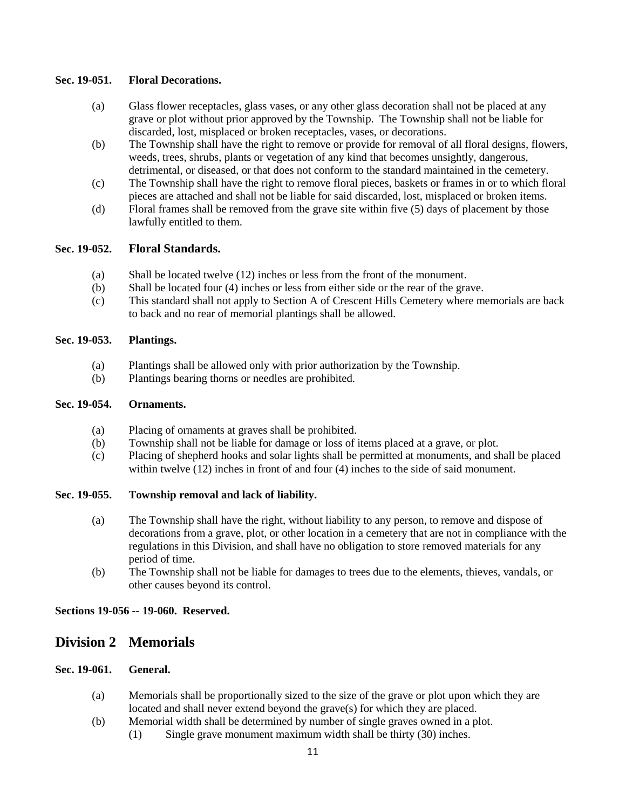#### **Sec. 19-051. Floral Decorations.**

- (a) Glass flower receptacles, glass vases, or any other glass decoration shall not be placed at any grave or plot without prior approved by the Township. The Township shall not be liable for discarded, lost, misplaced or broken receptacles, vases, or decorations.
- (b) The Township shall have the right to remove or provide for removal of all floral designs, flowers, weeds, trees, shrubs, plants or vegetation of any kind that becomes unsightly, dangerous, detrimental, or diseased, or that does not conform to the standard maintained in the cemetery.
- (c) The Township shall have the right to remove floral pieces, baskets or frames in or to which floral pieces are attached and shall not be liable for said discarded, lost, misplaced or broken items.
- (d) Floral frames shall be removed from the grave site within five (5) days of placement by those lawfully entitled to them.

## **Sec. 19-052. Floral Standards.**

- (a) Shall be located twelve (12) inches or less from the front of the monument.
- (b) Shall be located four (4) inches or less from either side or the rear of the grave.
- (c) This standard shall not apply to Section A of Crescent Hills Cemetery where memorials are back to back and no rear of memorial plantings shall be allowed.

#### **Sec. 19-053. Plantings.**

- (a) Plantings shall be allowed only with prior authorization by the Township.
- (b) Plantings bearing thorns or needles are prohibited.

#### **Sec. 19-054. Ornaments.**

- (a) Placing of ornaments at graves shall be prohibited.
- (b) Township shall not be liable for damage or loss of items placed at a grave, or plot.
- (c) Placing of shepherd hooks and solar lights shall be permitted at monuments, and shall be placed within twelve (12) inches in front of and four (4) inches to the side of said monument.

#### **Sec. 19-055. Township removal and lack of liability.**

- (a) The Township shall have the right, without liability to any person, to remove and dispose of decorations from a grave, plot, or other location in a cemetery that are not in compliance with the regulations in this Division, and shall have no obligation to store removed materials for any period of time.
- (b) The Township shall not be liable for damages to trees due to the elements, thieves, vandals, or other causes beyond its control.

#### **Sections 19-056 -- 19-060. Reserved.**

## **Division 2 Memorials**

## **Sec. 19-061. General.**

- (a) Memorials shall be proportionally sized to the size of the grave or plot upon which they are located and shall never extend beyond the grave(s) for which they are placed.
- (b) Memorial width shall be determined by number of single graves owned in a plot.
	- (1) Single grave monument maximum width shall be thirty (30) inches.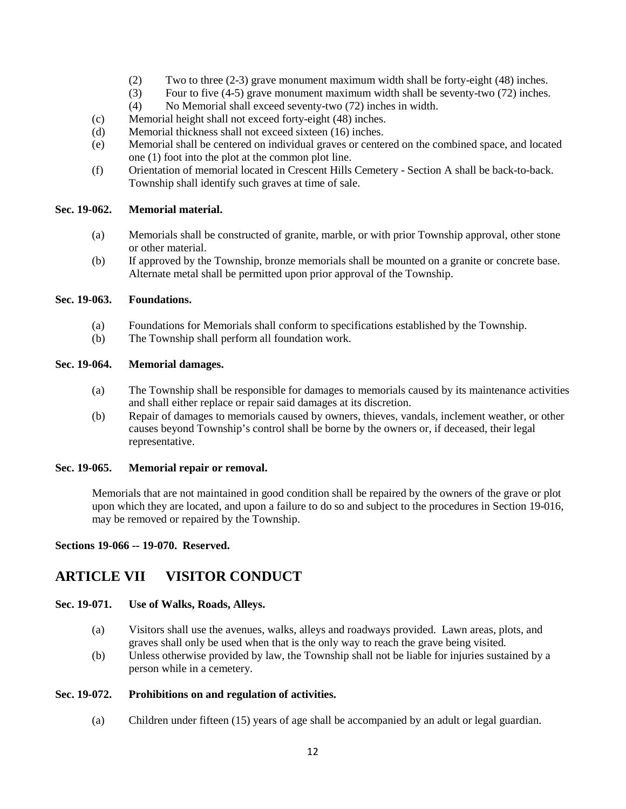- (2) Two to three (2-3) grave monument maximum width shall be forty-eight (48) inches.
- (3) Four to five (4-5) grave monument maximum width shall be seventy-two (72) inches.
- (4) No Memorial shall exceed seventy-two (72) inches in width.
- (c) Memorial height shall not exceed forty-eight (48) inches.
- (d) Memorial thickness shall not exceed sixteen (16) inches.
- (e) Memorial shall be centered on individual graves or centered on the combined space, and located one (1) foot into the plot at the common plot line.
- (f) Orientation of memorial located in Crescent Hills Cemetery Section A shall be back-to-back. Township shall identify such graves at time of sale.

#### **Sec. 19-062. Memorial material.**

- (a) Memorials shall be constructed of granite, marble, or with prior Township approval, other stone or other material.
- (b) If approved by the Township, bronze memorials shall be mounted on a granite or concrete base. Alternate metal shall be permitted upon prior approval of the Township.

#### **Sec. 19-063. Foundations.**

- (a) Foundations for Memorials shall conform to specifications established by the Township.
- (b) The Township shall perform all foundation work.

#### **Sec. 19-064. Memorial damages.**

- (a) The Township shall be responsible for damages to memorials caused by its maintenance activities and shall either replace or repair said damages at its discretion.
- (b) Repair of damages to memorials caused by owners, thieves, vandals, inclement weather, or other causes beyond Township's control shall be borne by the owners or, if deceased, their legal representative.

#### **Sec. 19-065. Memorial repair or removal.**

Memorials that are not maintained in good condition shall be repaired by the owners of the grave or plot upon which they are located, and upon a failure to do so and subject to the procedures in Section 19-016, may be removed or repaired by the Township.

**Sections 19-066 -- 19-070. Reserved.**

## **ARTICLE VII VISITOR CONDUCT**

## **Sec. 19-071. Use of Walks, Roads, Alleys.**

- (a) Visitors shall use the avenues, walks, alleys and roadways provided. Lawn areas, plots, and graves shall only be used when that is the only way to reach the grave being visited.
- (b) Unless otherwise provided by law, the Township shall not be liable for injuries sustained by a person while in a cemetery.

## **Sec. 19-072. Prohibitions on and regulation of activities.**

(a) Children under fifteen (15) years of age shall be accompanied by an adult or legal guardian.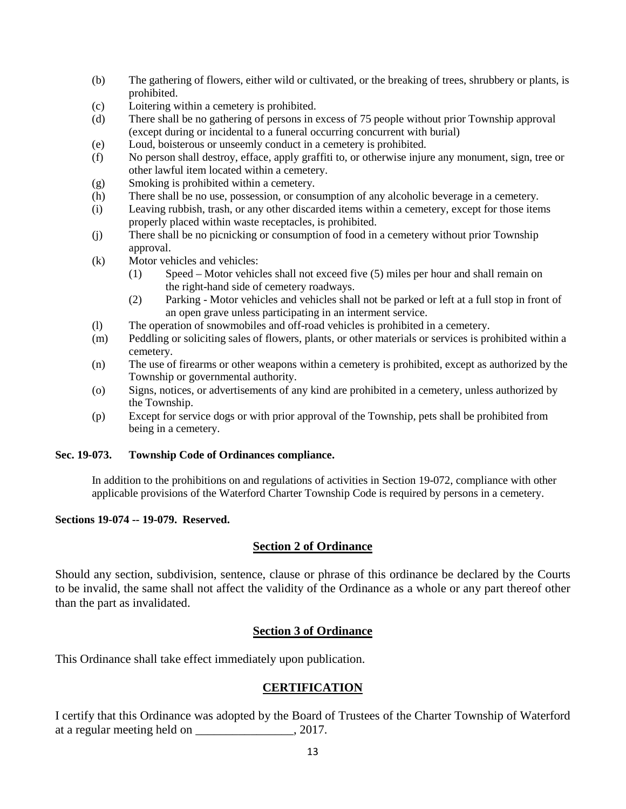- (b) The gathering of flowers, either wild or cultivated, or the breaking of trees, shrubbery or plants, is prohibited.
- (c) Loitering within a cemetery is prohibited.
- (d) There shall be no gathering of persons in excess of 75 people without prior Township approval (except during or incidental to a funeral occurring concurrent with burial)
- (e) Loud, boisterous or unseemly conduct in a cemetery is prohibited.
- (f) No person shall destroy, efface, apply graffiti to, or otherwise injure any monument, sign, tree or other lawful item located within a cemetery.
- (g) Smoking is prohibited within a cemetery.
- (h) There shall be no use, possession, or consumption of any alcoholic beverage in a cemetery.
- (i) Leaving rubbish, trash, or any other discarded items within a cemetery, except for those items properly placed within waste receptacles, is prohibited.
- (j) There shall be no picnicking or consumption of food in a cemetery without prior Township approval.
- (k) Motor vehicles and vehicles:
	- (1) Speed Motor vehicles shall not exceed five (5) miles per hour and shall remain on the right-hand side of cemetery roadways.
	- (2) Parking Motor vehicles and vehicles shall not be parked or left at a full stop in front of an open grave unless participating in an interment service.
- (l) The operation of snowmobiles and off-road vehicles is prohibited in a cemetery.
- (m) Peddling or soliciting sales of flowers, plants, or other materials or services is prohibited within a cemetery.
- (n) The use of firearms or other weapons within a cemetery is prohibited, except as authorized by the Township or governmental authority.
- (o) Signs, notices, or advertisements of any kind are prohibited in a cemetery, unless authorized by the Township.
- (p) Except for service dogs or with prior approval of the Township, pets shall be prohibited from being in a cemetery.

## **Sec. 19-073. Township Code of Ordinances compliance.**

 In addition to the prohibitions on and regulations of activities in Section 19-072, compliance with other applicable provisions of the Waterford Charter Township Code is required by persons in a cemetery.

## **Sections 19-074 -- 19-079. Reserved.**

## **Section 2 of Ordinance**

Should any section, subdivision, sentence, clause or phrase of this ordinance be declared by the Courts to be invalid, the same shall not affect the validity of the Ordinance as a whole or any part thereof other than the part as invalidated.

## **Section 3 of Ordinance**

This Ordinance shall take effect immediately upon publication.

## **CERTIFICATION**

I certify that this Ordinance was adopted by the Board of Trustees of the Charter Township of Waterford at a regular meeting held on \_\_\_\_\_\_\_\_\_\_\_\_\_\_\_\_, 2017.